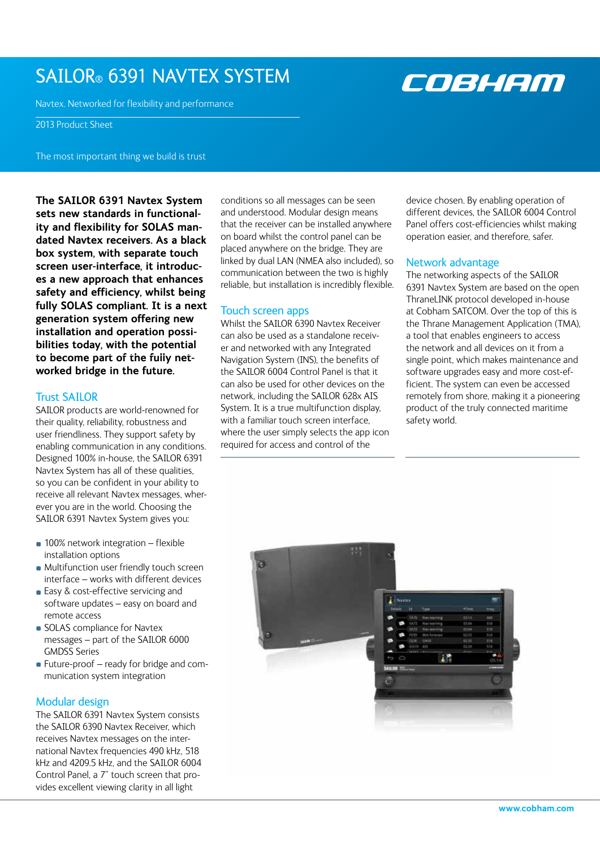# SAILOR® 6391 NAVTEX SYSTEM

Navtex. Networked for flexibility and performance

2013 Product Sheet

The most important thing we build is trust

**The SAILOR 6391 Navtex System sets new standards in functionality and flexibility for SOLAS mandated Navtex receivers. As a black box system, with separate touch screen user-interface, it introduces a new approach that enhances safety and efficiency, whilst being fully SOLAS compliant. It is a next generation system offering new installation and operation possibilities today, with the potential to become part of the fully networked bridge in the future.** 

# Trust SAILOR

SAILOR products are world-renowned for their quality, reliability, robustness and user friendliness. They support safety by enabling communication in any conditions. Designed 100% in-house, the SAILOR 6391 Navtex System has all of these qualities, so you can be confident in your ability to receive all relevant Navtex messages, wherever you are in the world. Choosing the SAILOR 6391 Navtex System gives you:

- **100% network integration flexible** installation options
- **Multifunction user friendly touch screen** interface – works with different devices
- Easy & cost-effective servicing and software updates – easy on board and remote access
- **SOLAS** compliance for Navtex messages – part of the SAILOR 6000 GMDSS Series
- Future-proof ready for bridge and communication system integration

# Modular design

The SAILOR 6391 Navtex System consists the SAILOR 6390 Navtex Receiver, which receives Navtex messages on the international Navtex frequencies 490 kHz, 518 kHz and 4209.5 kHz, and the SAILOR 6004 Control Panel, a 7" touch screen that provides excellent viewing clarity in all light

conditions so all messages can be seen and understood. Modular design means that the receiver can be installed anywhere on board whilst the control panel can be placed anywhere on the bridge. They are linked by dual LAN (NMEA also included), so communication between the two is highly reliable, but installation is incredibly flexible.

## Touch screen apps

Whilst the SAILOR 6390 Navtex Receiver can also be used as a standalone receiver and networked with any Integrated Navigation System (INS), the benefits of the SAILOR 6004 Control Panel is that it can also be used for other devices on the network, including the SAILOR 628x AIS System. It is a true multifunction display, with a familiar touch screen interface, where the user simply selects the app icon required for access and control of the

device chosen. By enabling operation of different devices, the SAILOR 6004 Control Panel offers cost-efficiencies whilst making operation easier, and therefore, safer.

COBHEM

## Network advantage

The networking aspects of the SAILOR 6391 Navtex System are based on the open ThraneLINK protocol developed in-house at Cobham SATCOM. Over the top of this is the Thrane Management Application (TMA), a tool that enables engineers to access the network and all devices on it from a single point, which makes maintenance and software upgrades easy and more cost-efficient. The system can even be accessed remotely from shore, making it a pioneering product of the truly connected maritime safety world.